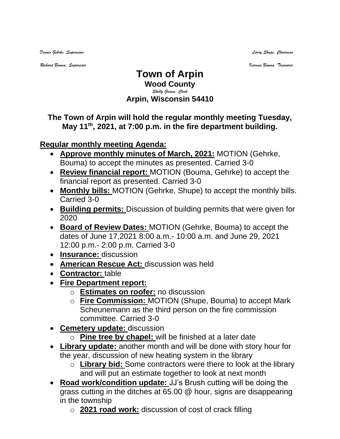*Dennis Gehrke, Supervisor Larry Shupe, Chairman* 

*Richard Bouma, Supervisor Karmen Bouma, Treasurer*

## **Town of Arpin Wood County** *Shelly Grimm, Clerk* **Arpin, Wisconsin 54410**

## **The Town of Arpin will hold the regular monthly meeting Tuesday, May 11 th , 2021, at 7:00 p.m. in the fire department building.**

## **Regular monthly meeting Agenda:**

- **Approve monthly minutes of March, 2021:** MOTION (Gehrke, Bouma) to accept the minutes as presented. Carried 3-0
- **Review financial report:** MOTION (Bouma, Gehrke) to accept the financial report as presented. Carried 3-0
- **Monthly bills:** MOTION (Gehrke, Shupe) to accept the monthly bills. Carried 3-0
- **Building permits:** Discussion of building permits that were given for 2020
- **Board of Review Dates:** MOTION (Gehrke, Bouma) to accept the dates of June 17,2021 8:00 a.m.- 10:00 a.m. and June 29, 2021 12:00 p.m.- 2:00 p.m. Carried 3-0
- **Insurance:** discussion
- **American Rescue Act:** discussion was held
- **Contractor:** table
- **Fire Department report:**
	- o **Estimates on roofer:** no discussion
	- o **Fire Commission:** MOTION (Shupe, Bouma) to accept Mark Scheunemann as the third person on the fire commission committee. Carried 3-0
- **Cemetery update:** discussion
	- o **Pine tree by chapel:** will be finished at a later date
- **Library update:** another month and will be done with story hour for the year, discussion of new heating system in the library
	- o **Library bid:** Some contractors were there to look at the library and will put an estimate together to look at next month
- **Road work/condition update:** JJ's Brush cutting will be doing the grass cutting in the ditches at 65.00 @ hour, signs are disappearing in the township
	- o **2021 road work:** discussion of cost of crack filling